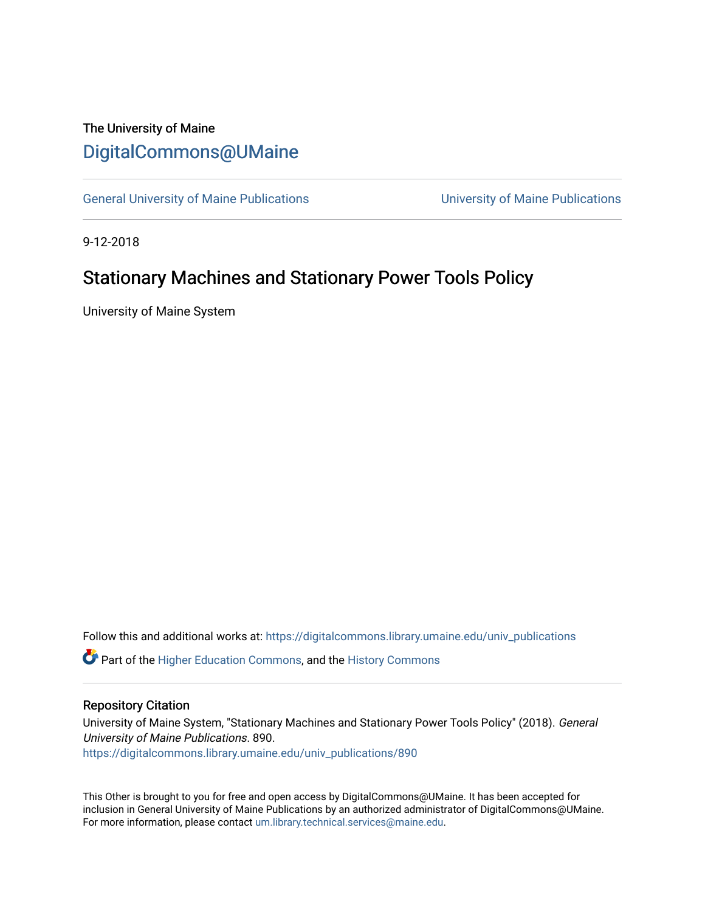## The University of Maine [DigitalCommons@UMaine](https://digitalcommons.library.umaine.edu/)

[General University of Maine Publications](https://digitalcommons.library.umaine.edu/univ_publications) [University of Maine Publications](https://digitalcommons.library.umaine.edu/umaine_publications) 

9-12-2018

# Stationary Machines and Stationary Power Tools Policy

University of Maine System

Follow this and additional works at: [https://digitalcommons.library.umaine.edu/univ\\_publications](https://digitalcommons.library.umaine.edu/univ_publications?utm_source=digitalcommons.library.umaine.edu%2Funiv_publications%2F890&utm_medium=PDF&utm_campaign=PDFCoverPages) 

**C** Part of the [Higher Education Commons,](http://network.bepress.com/hgg/discipline/1245?utm_source=digitalcommons.library.umaine.edu%2Funiv_publications%2F890&utm_medium=PDF&utm_campaign=PDFCoverPages) and the [History Commons](http://network.bepress.com/hgg/discipline/489?utm_source=digitalcommons.library.umaine.edu%2Funiv_publications%2F890&utm_medium=PDF&utm_campaign=PDFCoverPages)

#### Repository Citation

University of Maine System, "Stationary Machines and Stationary Power Tools Policy" (2018). General University of Maine Publications. 890. [https://digitalcommons.library.umaine.edu/univ\\_publications/890](https://digitalcommons.library.umaine.edu/univ_publications/890?utm_source=digitalcommons.library.umaine.edu%2Funiv_publications%2F890&utm_medium=PDF&utm_campaign=PDFCoverPages) 

This Other is brought to you for free and open access by DigitalCommons@UMaine. It has been accepted for inclusion in General University of Maine Publications by an authorized administrator of DigitalCommons@UMaine. For more information, please contact [um.library.technical.services@maine.edu](mailto:um.library.technical.services@maine.edu).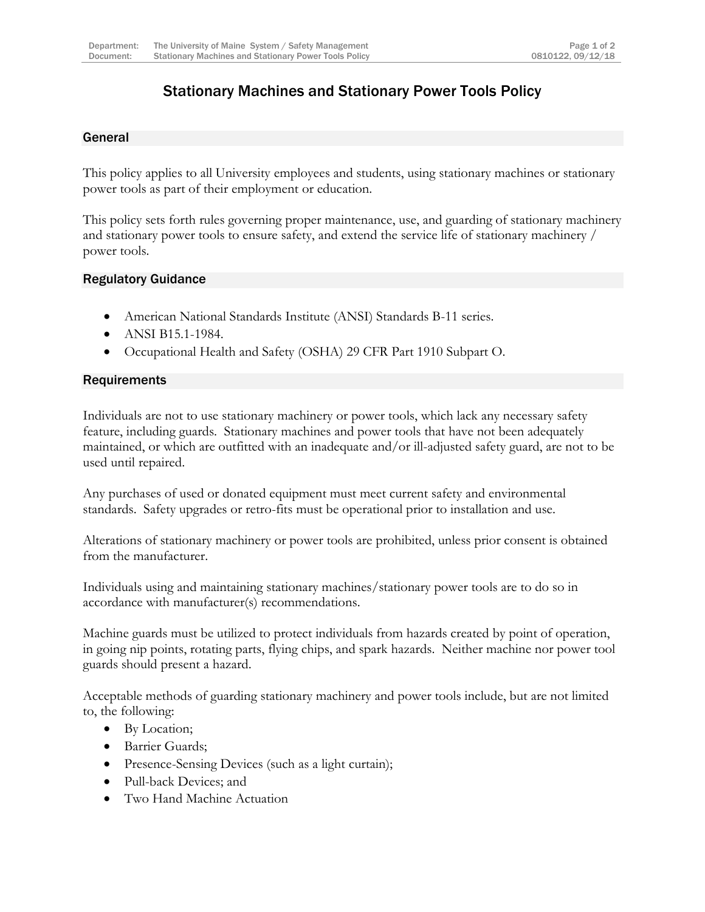### Stationary Machines and Stationary Power Tools Policy

### General

This policy applies to all University employees and students, using stationary machines or stationary power tools as part of their employment or education.

This policy sets forth rules governing proper maintenance, use, and guarding of stationary machinery and stationary power tools to ensure safety, and extend the service life of stationary machinery / power tools.

#### Regulatory Guidance

- American National Standards Institute (ANSI) Standards B-11 series.
- ANSI B15.1-1984.
- Occupational Health and Safety (OSHA) 29 CFR Part 1910 Subpart O.

#### **Requirements**

Individuals are not to use stationary machinery or power tools, which lack any necessary safety feature, including guards. Stationary machines and power tools that have not been adequately maintained, or which are outfitted with an inadequate and/or ill-adjusted safety guard, are not to be used until repaired.

Any purchases of used or donated equipment must meet current safety and environmental standards. Safety upgrades or retro-fits must be operational prior to installation and use.

Alterations of stationary machinery or power tools are prohibited, unless prior consent is obtained from the manufacturer.

Individuals using and maintaining stationary machines/stationary power tools are to do so in accordance with manufacturer(s) recommendations.

Machine guards must be utilized to protect individuals from hazards created by point of operation, in going nip points, rotating parts, flying chips, and spark hazards. Neither machine nor power tool guards should present a hazard.

Acceptable methods of guarding stationary machinery and power tools include, but are not limited to, the following:

- By Location;
- Barrier Guards;
- Presence-Sensing Devices (such as a light curtain);
- Pull-back Devices; and
- Two Hand Machine Actuation